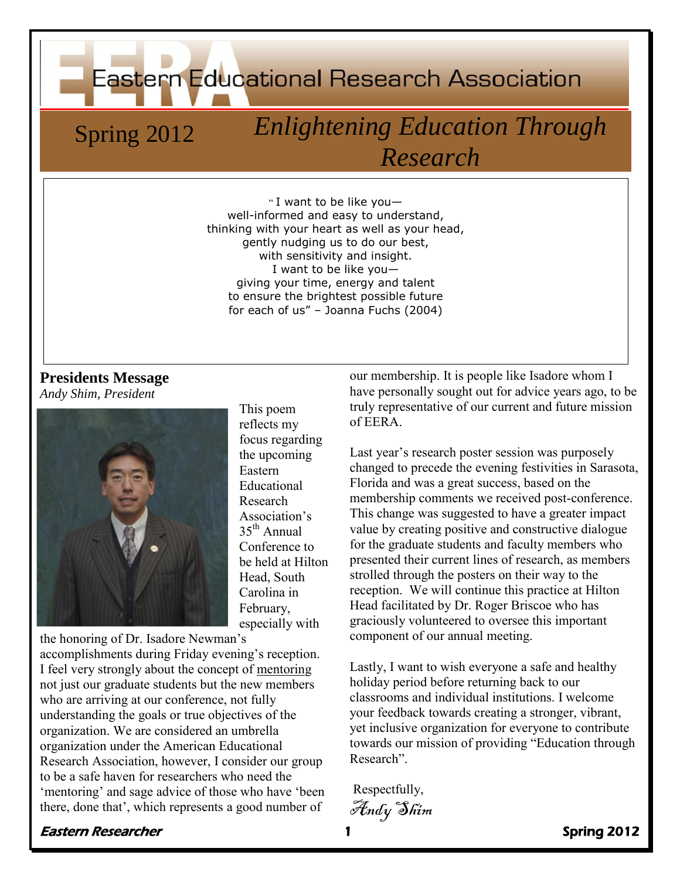**Eastern Educational Research Association** 

# Spring 2012 *Enlightening Education Through Research*

" I want to be like you well-informed and easy to understand, thinking with your heart as well as your head, gently nudging us to do our best, with sensitivity and insight. I want to be like you giving your time, energy and talent to ensure the brightest possible future for each of us" – Joanna Fuchs (2004)

#### **Presidents Message** *Andy Shim, President*



This poem reflects my focus regarding the upcoming Eastern Educational Research Association's  $35<sup>th</sup>$  Annual Conference to be held at Hilton Head, South Carolina in February, especially with

the honoring of Dr. Isadore Newman's accomplishments during Friday evening's reception. I feel very strongly about the concept of mentoring not just our graduate students but the new members who are arriving at our conference, not fully understanding the goals or true objectives of the organization. We are considered an umbrella organization under the American Educational Research Association, however, I consider our group to be a safe haven for researchers who need the 'mentoring' and sage advice of those who have 'been there, done that', which represents a good number of

our membership. It is people like Isadore whom I have personally sought out for advice years ago, to be truly representative of our current and future mission of EERA.

Last year's research poster session was purposely changed to precede the evening festivities in Sarasota, Florida and was a great success, based on the membership comments we received post-conference. This change was suggested to have a greater impact value by creating positive and constructive dialogue for the graduate students and faculty members who presented their current lines of research, as members strolled through the posters on their way to the reception. We will continue this practice at Hilton Head facilitated by Dr. Roger Briscoe who has graciously volunteered to oversee this important component of our annual meeting.

Lastly, I want to wish everyone a safe and healthy holiday period before returning back to our classrooms and individual institutions. I welcome your feedback towards creating a stronger, vibrant, yet inclusive organization for everyone to contribute towards our mission of providing "Education through Research".

Respectfully,

Andy Shim

#### er Eastern Researcher 1 November 1 Spring 2012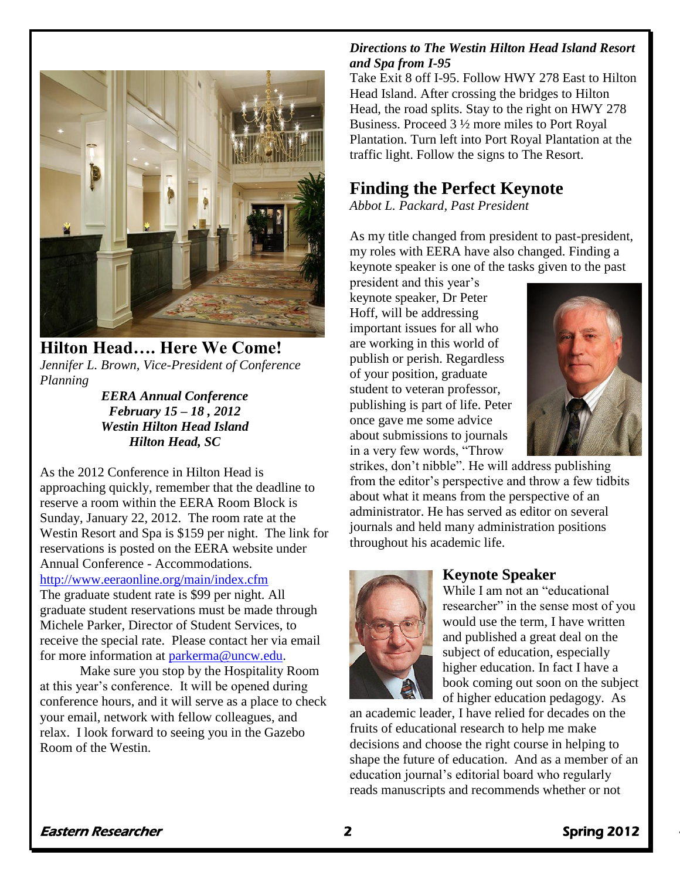

**Hilton Head…. Here We Come!** *Jennifer L. Brown, Vice-President of Conference Planning*

*EERA Annual Conference February 15 – 18 , 2012 Westin Hilton Head Island Hilton Head, SC*

As the 2012 Conference in Hilton Head is approaching quickly, remember that the deadline to reserve a room within the EERA Room Block is Sunday, January 22, 2012. The room rate at the Westin Resort and Spa is \$159 per night. The link for reservations is posted on the EERA website under Annual Conference - Accommodations. <http://www.eeraonline.org/main/index.cfm> The graduate student rate is \$99 per night. All

graduate student reservations must be made through Michele Parker, Director of Student Services, to receive the special rate. Please contact her via email for more information at [parkerma@uncw.edu.](mailto:parkerma@uncw.edu)

Make sure you stop by the Hospitality Room at this year's conference. It will be opened during conference hours, and it will serve as a place to check your email, network with fellow colleagues, and relax. I look forward to seeing you in the Gazebo Room of the Westin.

#### *Directions to The Westin Hilton Head Island Resort and Spa from I-95*

Take Exit 8 off I-95. Follow HWY 278 East to Hilton Head Island. After crossing the bridges to Hilton Head, the road splits. Stay to the right on HWY 278 Business. Proceed 3 ½ more miles to Port Royal Plantation. Turn left into Port Royal Plantation at the traffic light. Follow the signs to The Resort.

### **Finding the Perfect Keynote**

*Abbot L. Packard, Past President*

As my title changed from president to past-president, my roles with EERA have also changed. Finding a keynote speaker is one of the tasks given to the past

president and this year's keynote speaker, Dr Peter Hoff, will be addressing important issues for all who are working in this world of publish or perish. Regardless of your position, graduate student to veteran professor, publishing is part of life. Peter once gave me some advice about submissions to journals in a very few words, "Throw



strikes, don't nibble". He will address publishing from the editor's perspective and throw a few tidbits about what it means from the perspective of an administrator. He has served as editor on several journals and held many administration positions throughout his academic life.



### **Keynote Speaker**

While I am not an "educational researcher" in the sense most of you would use the term, I have written and published a great deal on the subject of education, especially higher education. In fact I have a book coming out soon on the subject of higher education pedagogy. As

an academic leader, I have relied for decades on the fruits of educational research to help me make decisions and choose the right course in helping to shape the future of education. And as a member of an education journal's editorial board who regularly reads manuscripts and recommends whether or not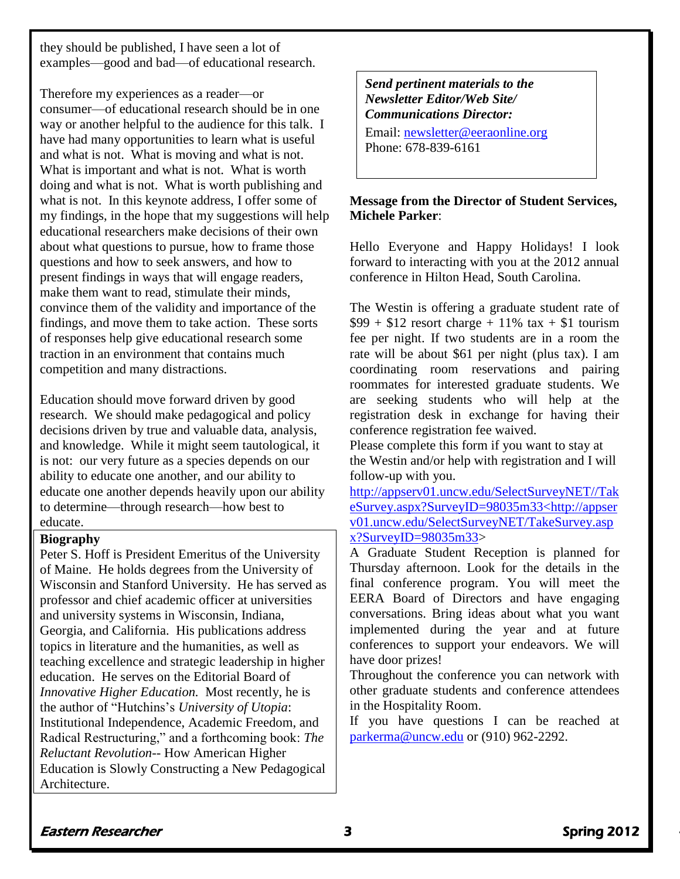they should be published, I have seen a lot of examples—good and bad—of educational research.

Therefore my experiences as a reader—or consumer—of educational research should be in one way or another helpful to the audience for this talk. I have had many opportunities to learn what is useful and what is not. What is moving and what is not. What is important and what is not. What is worth doing and what is not. What is worth publishing and what is not. In this keynote address, I offer some of my findings, in the hope that my suggestions will help educational researchers make decisions of their own about what questions to pursue, how to frame those questions and how to seek answers, and how to present findings in ways that will engage readers, make them want to read, stimulate their minds, convince them of the validity and importance of the findings, and move them to take action. These sorts of responses help give educational research some traction in an environment that contains much competition and many distractions.

Education should move forward driven by good research. We should make pedagogical and policy decisions driven by true and valuable data, analysis, and knowledge. While it might seem tautological, it is not: our very future as a species depends on our ability to educate one another, and our ability to educate one another depends heavily upon our ability to determine—through research—how best to educate.

#### **Biography**

Peter S. Hoff is President Emeritus of the University of Maine. He holds degrees from the University of Wisconsin and Stanford University. He has served as professor and chief academic officer at universities and university systems in Wisconsin, Indiana, Georgia, and California. His publications address topics in literature and the humanities, as well as teaching excellence and strategic leadership in higher education. He serves on the Editorial Board of *Innovative Higher Education.* Most recently, he is the author of "Hutchins's *University of Utopia*: Institutional Independence, Academic Freedom, and Radical Restructuring," and a forthcoming book: *The Reluctant Revolution--* How American Higher Education is Slowly Constructing a New Pedagogical Architecture.

*Send pertinent materials to the Newsletter Editor/Web Site/ Communications Director:*

Email: [newsletter@eeraonline.org](mailto:newsletter@eeraonline.org) Phone: 678-839-6161

#### **Message from the Director of Student Services, Michele Parker**:

Hello Everyone and Happy Holidays! I look forward to interacting with you at the 2012 annual conference in Hilton Head, South Carolina.

The Westin is offering a graduate student rate of  $$99 + $12$  resort charge + 11% tax + \$1 tourism fee per night. If two students are in a room the rate will be about \$61 per night (plus tax). I am coordinating room reservations and pairing roommates for interested graduate students. We are seeking students who will help at the registration desk in exchange for having their conference registration fee waived.

Please complete this form if you want to stay at the Westin and/or help with registration and I will follow-up with you.

[http://appserv01.uncw.edu/SelectSurveyNET//Tak](http://appserv01.uncw.edu/SelectSurveyNET/TakeSurvey.aspx?SurveyID=98035m33%3chttp://appserv01.uncw.edu/SelectSurveyNET/TakeSurvey.aspx?SurveyID=98035m33) [eSurvey.aspx?SurveyID=98035m33<http://appser](http://appserv01.uncw.edu/SelectSurveyNET/TakeSurvey.aspx?SurveyID=98035m33%3chttp://appserv01.uncw.edu/SelectSurveyNET/TakeSurvey.aspx?SurveyID=98035m33) [v01.uncw.edu/SelectSurveyNET/TakeSurvey.asp](http://appserv01.uncw.edu/SelectSurveyNET/TakeSurvey.aspx?SurveyID=98035m33%3chttp://appserv01.uncw.edu/SelectSurveyNET/TakeSurvey.aspx?SurveyID=98035m33) [x?SurveyID=98035m33>](http://appserv01.uncw.edu/SelectSurveyNET/TakeSurvey.aspx?SurveyID=98035m33%3chttp://appserv01.uncw.edu/SelectSurveyNET/TakeSurvey.aspx?SurveyID=98035m33)

A Graduate Student Reception is planned for Thursday afternoon. Look for the details in the final conference program. You will meet the EERA Board of Directors and have engaging conversations. Bring ideas about what you want implemented during the year and at future conferences to support your endeavors. We will have door prizes!

Throughout the conference you can network with other graduate students and conference attendees in the Hospitality Room.

If you have questions I can be reached at [parkerma@uncw.edu](mailto:parkerma@uncw.edu) or (910) 962-2292.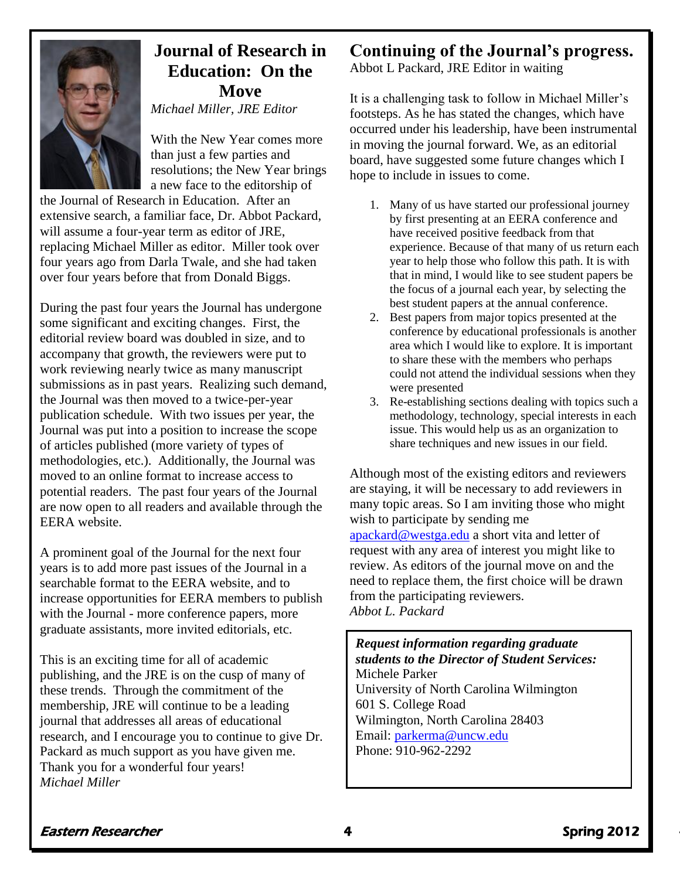

## **Journal of Research in Education: On the Move**

*Michael Miller, JRE Editor*

With the New Year comes more than just a few parties and resolutions; the New Year brings a new face to the editorship of

the Journal of Research in Education. After an extensive search, a familiar face, Dr. Abbot Packard, will assume a four-year term as editor of JRE, replacing Michael Miller as editor. Miller took over four years ago from Darla Twale, and she had taken over four years before that from Donald Biggs.

During the past four years the Journal has undergone some significant and exciting changes. First, the editorial review board was doubled in size, and to accompany that growth, the reviewers were put to work reviewing nearly twice as many manuscript submissions as in past years. Realizing such demand, the Journal was then moved to a twice-per-year publication schedule. With two issues per year, the Journal was put into a position to increase the scope of articles published (more variety of types of methodologies, etc.). Additionally, the Journal was moved to an online format to increase access to potential readers. The past four years of the Journal are now open to all readers and available through the EERA website.

A prominent goal of the Journal for the next four years is to add more past issues of the Journal in a searchable format to the EERA website, and to increase opportunities for EERA members to publish with the Journal - more conference papers, more graduate assistants, more invited editorials, etc.

This is an exciting time for all of academic publishing, and the JRE is on the cusp of many of these trends. Through the commitment of the membership, JRE will continue to be a leading journal that addresses all areas of educational research, and I encourage you to continue to give Dr. Packard as much support as you have given me. Thank you for a wonderful four years! *Michael Miller*

### **Continuing of the Journal's progress.**

Abbot L Packard, JRE Editor in waiting

It is a challenging task to follow in Michael Miller's footsteps. As he has stated the changes, which have occurred under his leadership, have been instrumental in moving the journal forward. We, as an editorial board, have suggested some future changes which I hope to include in issues to come.

- 1. Many of us have started our professional journey by first presenting at an EERA conference and have received positive feedback from that experience. Because of that many of us return each year to help those who follow this path. It is with that in mind, I would like to see student papers be the focus of a journal each year, by selecting the best student papers at the annual conference.
- 2. Best papers from major topics presented at the conference by educational professionals is another area which I would like to explore. It is important to share these with the members who perhaps could not attend the individual sessions when they were presented
- 3. Re-establishing sections dealing with topics such a methodology, technology, special interests in each issue. This would help us as an organization to share techniques and new issues in our field.

Although most of the existing editors and reviewers are staying, it will be necessary to add reviewers in many topic areas. So I am inviting those who might wish to participate by sending me [apackard@westga.edu](mailto:apackard@westga.edu) a short vita and letter of request with any area of interest you might like to review. As editors of the journal move on and the need to replace them, the first choice will be drawn from the participating reviewers. *Abbot L. Packard*

**EERA Web Site** Wilmington, North Carolina 28403 **www.eeraonline.org** Email: [parkerma@uncw.edu](mailto:parkerma@uncw.edu) *Request information regarding graduate students to the Director of Student Services:* Michele Parker University of North Carolina Wilmington 601 S. College Road Phone: 910-962-2292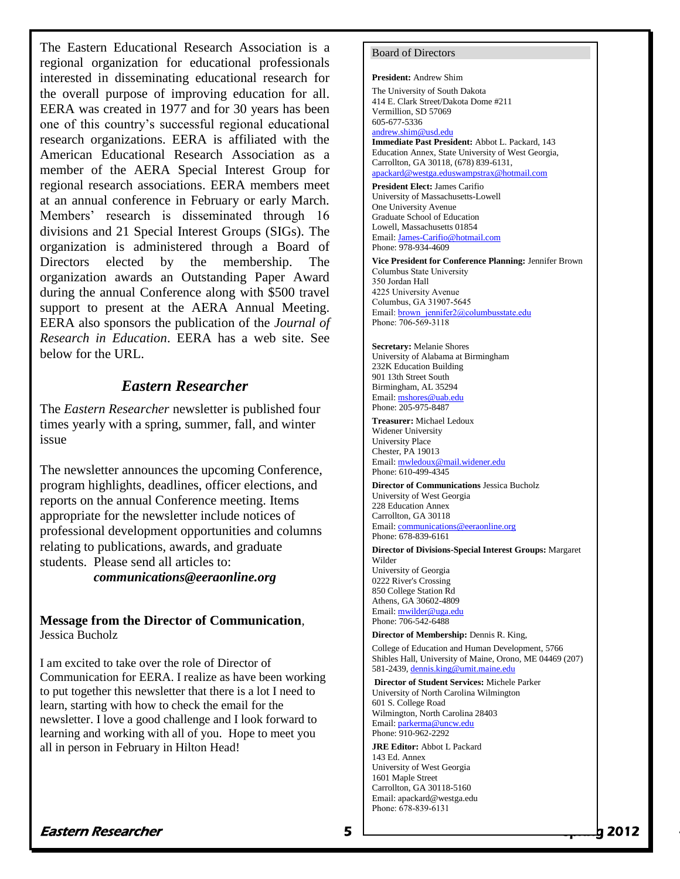The Eastern Educational Research Association is a regional organization for educational professionals interested in disseminating educational research for the overall purpose of improving education for all. EERA was created in 1977 and for 30 years has been one of this country's successful regional educational research organizations. EERA is affiliated with the American Educational Research Association as a member of the AERA Special Interest Group for regional research associations. EERA members meet at an annual conference in February or early March. Members' research is disseminated through 16 divisions and 21 Special Interest Groups (SIGs). The organization is administered through a Board of Directors elected by the membership. The organization awards an Outstanding Paper Award during the annual Conference along with \$500 travel support to present at the AERA Annual Meeting. EERA also sponsors the publication of the *Journal of Research in Education*. EERA has a web site. See below for the URL.

### *Eastern Researcher*

The *Eastern Researcher* newsletter is published four times yearly with a spring, summer, fall, and winter issue

The newsletter announces the upcoming Conference, program highlights, deadlines, officer elections, and reports on the annual Conference meeting. Items appropriate for the newsletter include notices of professional development opportunities and columns relating to publications, awards, and graduate students. Please send all articles to:

*communications@eeraonline.org*

**Message from the Director of Communication**, Jessica Bucholz

I am excited to take over the role of Director of Communication for EERA. I realize as have been working to put together this newsletter that there is a lot I need to learn, starting with how to check the email for the newsletter. I love a good challenge and I look forward to learning and working with all of you. Hope to meet you all in person in February in Hilton Head!

#### Board of Directors

**President:** Andrew Shim The University of South Dakota 414 E. Clark Street/Dakota Dome #211 Vermillion, SD 57069 605-677-5336

[andrew.shim@usd.edu](mailto:andrew.shim@usd.edu) **Immediate Past President:** Abbot L. Packard, 143 Education Annex, State University of West Georgia, Carrollton, GA 30118, (678) 839-6131, [apackard@westga.eduswampstrax@hotmail.com](http://imail.iup.edu/Session/928103-AvZ2RMxO6gA09qM5UQBl-kmbczav/MessagePart/gundbear/My%20Documents/EERA/EERA%20Newsletterspring2007.doc)

**President Elect:** James Carifio University of Massachusetts-Lowell One University Avenue Graduate School of Education Lowell, Massachusetts 01854 Email[: James-Carifio@hotmail.com](mailto:James-Carifio@hotmail.com) Phone: 978-934-4609

**Vice President for Conference Planning:** Jennifer Brown Columbus State University 350 Jordan Hall 4225 University Avenue Columbus, GA 31907-5645 Email[: brown\\_jennifer2@columbusstate.edu](mailto:brown_jennifer2@columbusstate.edu) Phone: 706-569-3118

**Secretary:** Melanie Shores University of Alabama at Birmingham 232K Education Building 901 13th Street South Birmingham, AL 35294 Email[: mshores@uab.edu](mailto:mshores@uab.edu) Phone: 205-975-8487

**Treasurer:** Michael Ledoux Widener University University Place Chester, PA 19013 Email[: mwledoux@mail.widener.edu](mailto:mwledoux@mail.widener.edu) Phone: 610-499-4345

**Director of Communications** Jessica Bucholz University of West Georgia 228 Education Annex Carrollton, GA 30118 Email[: communications@eeraonline.org](mailto:communications@eeraonline.org) Phone: 678-839-6161

**Director of Divisions-Special Interest Groups:** Margaret Wilder University of Georgia 0222 River's Crossing 850 College Station Rd Athens, GA 30602-4809 Email[: mwilder@uga.edu](mailto:mwilder@uga.edu) Phone: 706-542-6488

**Director of Membership:** Dennis R. King,

College of Education and Human Development, 5766 Shibles Hall, University of Maine, Orono, ME 04469 (207) 581-2439, [dennis.king@umit.maine.edu](http://imail.iup.edu/Session/928103-AvZ2RMxO6gA09qM5UQBl-kmbczav/MessagePart/gundbear/My%20Documents/EERA/EERA%20Newsletterspring2007.doc)

**Director of Student Services:** Michele Parker University of North Carolina Wilmington 601 S. College Road Wilmington, North Carolina 28403 Email[: parkerma@uncw.edu](mailto:parkerma@uncw.edu) Phone: 910-962-2292

**JRE Editor:** Abbot L Packard 143 Ed. Annex University of West Georgia 1601 Maple Street Carrollton, GA 30118-5160 Email: apackard@westga.edu Phone: 678-839-6131